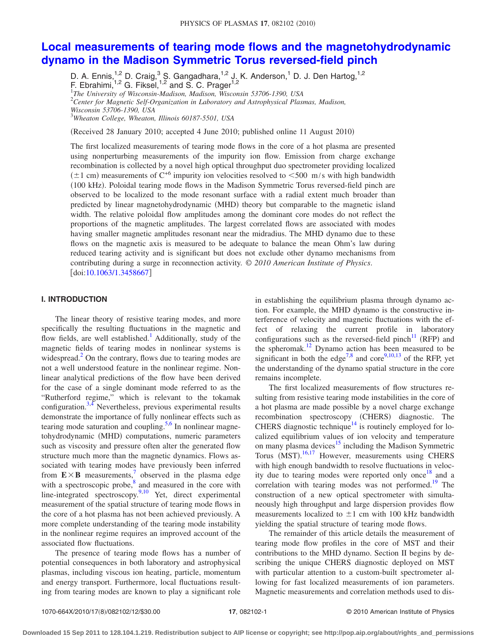# **[Local measurements of tearing mode flows and the magnetohydrodynamic](http://dx.doi.org/10.1063/1.3458667) [dynamo in the Madison Symmetric Torus reversed-field pinch](http://dx.doi.org/10.1063/1.3458667)**

D. A. Ennis,  $^{1,2}$  D. Craig,  $^3$  S. Gangadhara,  $^{1,2}$  J. K. Anderson,  $^1$  D. J. Den Hartog,  $^{1,2}$ F. Ebrahimi,<sup>1,2</sup> G. Fiksel,<sup>1,2</sup> and S. C. Prager<sup>1,2</sup><br><sup>1</sup>*The University of Wisconsin-Madison, Madison, Wisconsin 53706-1390, USA* 

2 *Center for Magnetic Self-Organization in Laboratory and Astrophysical Plasmas, Madison,*

*Wisconsin 53706-1390, USA*

3 *Wheaton College, Wheaton, Illinois 60187-5501, USA*

(Received 28 January 2010; accepted 4 June 2010; published online 11 August 2010)

The first localized measurements of tearing mode flows in the core of a hot plasma are presented using nonperturbing measurements of the impurity ion flow. Emission from charge exchange recombination is collected by a novel high optical throughput duo spectrometer providing localized  $(\pm 1 \text{ cm})$  measurements of C<sup>+6</sup> impurity ion velocities resolved to <500 m/s with high bandwidth (100 kHz). Poloidal tearing mode flows in the Madison Symmetric Torus reversed-field pinch are observed to be localized to the mode resonant surface with a radial extent much broader than predicted by linear magnetohydrodynamic (MHD) theory but comparable to the magnetic island width. The relative poloidal flow amplitudes among the dominant core modes do not reflect the proportions of the magnetic amplitudes. The largest correlated flows are associated with modes having smaller magnetic amplitudes resonant near the midradius. The MHD dynamo due to these flows on the magnetic axis is measured to be adequate to balance the mean Ohm's law during reduced tearing activity and is significant but does not exclude other dynamo mechanisms from contributing during a surge in reconnection activity. © *2010 American Institute of Physics*.  $\left[$ doi[:10.1063/1.3458667](http://dx.doi.org/10.1063/1.3458667) $\right]$ 

#### **I. INTRODUCTION**

The linear theory of resistive tearing modes, and more specifically the resulting fluctuations in the magnetic and flow fields, are well established.<sup>1</sup> Additionally, study of the magnetic fields of tearing modes in nonlinear systems is widespread. $^{2}$  On the contrary, flows due to tearing modes are not a well understood feature in the nonlinear regime. Nonlinear analytical predictions of the flow have been derived for the case of a single dominant mode referred to as the "Rutherford regime," which is relevant to the tokamak configuration.<sup>3[,4](#page-10-3)</sup> Nevertheless, previous experimental results demonstrate the importance of fully nonlinear effects such as tearing mode saturation and coupling.<sup>5,[6](#page-10-5)</sup> In nonlinear magnetohydrodynamic (MHD) computations, numeric parameters such as viscosity and pressure often alter the generated flow structure much more than the magnetic dynamics. Flows associated with tearing modes have previously been inferred from  $\mathbf{E} \times \mathbf{B}$  measurements,<sup>7</sup> observed in the plasma edge with a spectroscopic probe,<sup>8</sup> and measured in the core with line-integrated spectroscopy.<sup>9[,10](#page-10-9)</sup> Yet, direct experimental measurement of the spatial structure of tearing mode flows in the core of a hot plasma has not been achieved previously. A more complete understanding of the tearing mode instability in the nonlinear regime requires an improved account of the associated flow fluctuations.

The presence of tearing mode flows has a number of potential consequences in both laboratory and astrophysical plasmas, including viscous ion heating, particle, momentum and energy transport. Furthermore, local fluctuations resulting from tearing modes are known to play a significant role

in establishing the equilibrium plasma through dynamo action. For example, the MHD dynamo is the constructive interference of velocity and magnetic fluctuations with the effect of relaxing the current profile in laboratory configurations such as the reversed-field pinch<sup>11</sup> (RFP) and the spheromak.<sup>12</sup> Dynamo action has been measured to be significant in both the edge<sup>7,[8](#page-10-7)</sup> and core<sup>9,[10](#page-10-9)[,13](#page-10-12)</sup> of the RFP, yet the understanding of the dynamo spatial structure in the core remains incomplete.

The first localized measurements of flow structures resulting from resistive tearing mode instabilities in the core of a hot plasma are made possible by a novel charge exchange recombination spectroscopy (CHERS) diagnostic. The CHERS diagnostic technique<sup>14</sup> is routinely employed for localized equilibrium values of ion velocity and temperature on many plasma devices $^{15}$  including the Madison Symmetric Torus (MST).<sup>[16](#page-10-15)[,17](#page-11-0)</sup> However, measurements using CHERS with high enough bandwidth to resolve fluctuations in velocity due to tearing modes were reported only once<sup>18</sup> and a correlation with tearing modes was not performed.<sup>19</sup> The construction of a new optical spectrometer with simultaneously high throughput and large dispersion provides flow measurements localized to  $\pm 1$  cm with 100 kHz bandwidth yielding the spatial structure of tearing mode flows.

The remainder of this article details the measurement of tearing mode flow profiles in the core of MST and their contributions to the MHD dynamo. Section II begins by describing the unique CHERS diagnostic deployed on MST with particular attention to a custom-built spectrometer allowing for fast localized measurements of ion parameters. Magnetic measurements and correlation methods used to dis-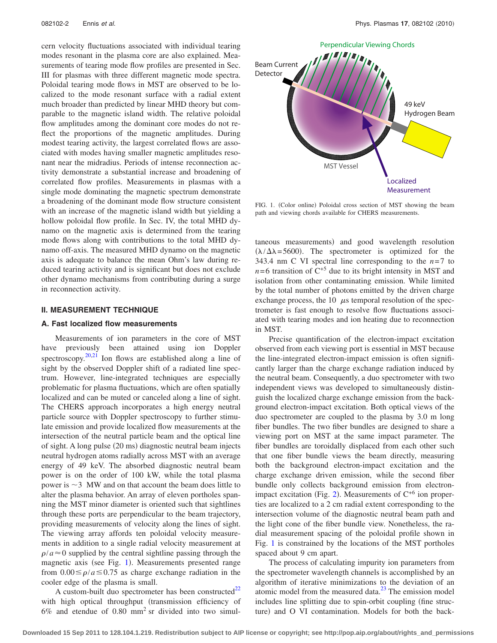cern velocity fluctuations associated with individual tearing modes resonant in the plasma core are also explained. Measurements of tearing mode flow profiles are presented in Sec. III for plasmas with three different magnetic mode spectra. Poloidal tearing mode flows in MST are observed to be localized to the mode resonant surface with a radial extent much broader than predicted by linear MHD theory but comparable to the magnetic island width. The relative poloidal flow amplitudes among the dominant core modes do not reflect the proportions of the magnetic amplitudes. During modest tearing activity, the largest correlated flows are associated with modes having smaller magnetic amplitudes resonant near the midradius. Periods of intense reconnection activity demonstrate a substantial increase and broadening of correlated flow profiles. Measurements in plasmas with a single mode dominating the magnetic spectrum demonstrate a broadening of the dominant mode flow structure consistent with an increase of the magnetic island width but yielding a hollow poloidal flow profile. In Sec. IV, the total MHD dynamo on the magnetic axis is determined from the tearing mode flows along with contributions to the total MHD dynamo off-axis. The measured MHD dynamo on the magnetic axis is adequate to balance the mean Ohm's law during reduced tearing activity and is significant but does not exclude other dynamo mechanisms from contributing during a surge in reconnection activity.

#### **II. MEASUREMENT TECHNIQUE**

## **A. Fast localized flow measurements**

Measurements of ion parameters in the core of MST have previously been attained using ion Doppler spectroscopy.<sup>20,[21](#page-11-4)</sup> Ion flows are established along a line of sight by the observed Doppler shift of a radiated line spectrum. However, line-integrated techniques are especially problematic for plasma fluctuations, which are often spatially localized and can be muted or canceled along a line of sight. The CHERS approach incorporates a high energy neutral particle source with Doppler spectroscopy to further stimulate emission and provide localized flow measurements at the intersection of the neutral particle beam and the optical line of sight. A long pulse (20 ms) diagnostic neutral beam injects neutral hydrogen atoms radially across MST with an average energy of 49 keV. The absorbed diagnostic neutral beam power is on the order of 100 kW, while the total plasma power is  $\sim$ 3 MW and on that account the beam does little to alter the plasma behavior. An array of eleven portholes spanning the MST minor diameter is oriented such that sightlines through these ports are perpendicular to the beam trajectory, providing measurements of velocity along the lines of sight. The viewing array affords ten poloidal velocity measurements in addition to a single radial velocity measurement at  $\rho/a \approx 0$  supplied by the central sightline passing through the magnetic axis (see Fig. [1](#page-1-0)). Measurements presented range from  $0.00 \le \rho/a \le 0.75$  as charge exchange radiation in the cooler edge of the plasma is small.

A custom-built duo spectrometer has been constructed<sup>22</sup> with high optical throughput (transmission efficiency of  $6\%$  and etendue of 0.80 mm<sup>2</sup> sr divided into two simul-

<span id="page-1-0"></span>

FIG. 1. (Color online) Poloidal cross section of MST showing the beam path and viewing chords available for CHERS measurements.

taneous measurements) and good wavelength resolution  $(\lambda/\Delta\lambda = 5600)$ . The spectrometer is optimized for the 343.4 nm C VI spectral line corresponding to the  $n=7$  to  $n=6$  transition of  $C^{+5}$  due to its bright intensity in MST and isolation from other contaminating emission. While limited by the total number of photons emitted by the driven charge exchange process, the 10  $\mu$ s temporal resolution of the spectrometer is fast enough to resolve flow fluctuations associated with tearing modes and ion heating due to reconnection in MST.

Precise quantification of the electron-impact excitation observed from each viewing port is essential in MST because the line-integrated electron-impact emission is often significantly larger than the charge exchange radiation induced by the neutral beam. Consequently, a duo spectrometer with two independent views was developed to simultaneously distinguish the localized charge exchange emission from the background electron-impact excitation. Both optical views of the duo spectrometer are coupled to the plasma by 3.0 m long fiber bundles. The two fiber bundles are designed to share a viewing port on MST at the same impact parameter. The fiber bundles are toroidally displaced from each other such that one fiber bundle views the beam directly, measuring both the background electron-impact excitation and the charge exchange driven emission, while the second fiber bundle only collects background emission from electron-impact excitation (Fig. [2](#page-2-0)). Measurements of  $C^{+6}$  ion properties are localized to a 2 cm radial extent corresponding to the intersection volume of the diagnostic neutral beam path and the light cone of the fiber bundle view. Nonetheless, the radial measurement spacing of the poloidal profile shown in Fig. [1](#page-1-0) is constrained by the locations of the MST portholes spaced about 9 cm apart.

The process of calculating impurity ion parameters from the spectrometer wavelength channels is accomplished by an algorithm of iterative minimizations to the deviation of an atomic model from the measured data. $^{23}$  The emission model includes line splitting due to spin-orbit coupling (fine structure) and O VI contamination. Models for both the back-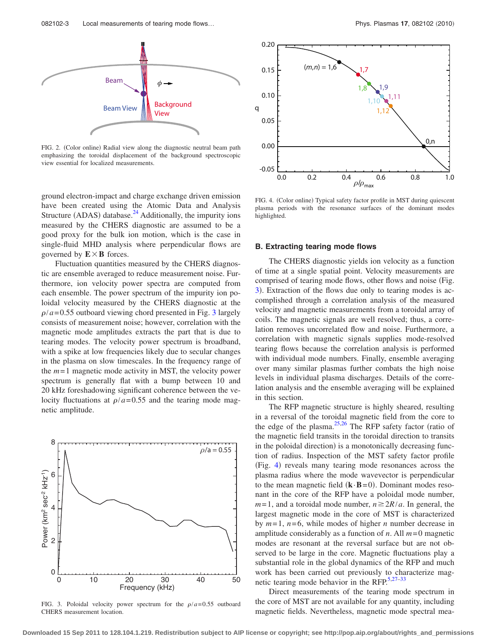<span id="page-2-0"></span>

FIG. 2. (Color online) Radial view along the diagnostic neutral beam path emphasizing the toroidal displacement of the background spectroscopic view essential for localized measurements.

ground electron-impact and charge exchange driven emission have been created using the Atomic Data and Analysis Structure (ADAS) database.<sup>24</sup> Additionally, the impurity ions measured by the CHERS diagnostic are assumed to be a good proxy for the bulk ion motion, which is the case in single-fluid MHD analysis where perpendicular flows are governed by  $\mathbf{E} \times \mathbf{B}$  forces.

Fluctuation quantities measured by the CHERS diagnostic are ensemble averaged to reduce measurement noise. Furthermore, ion velocity power spectra are computed from each ensemble. The power spectrum of the impurity ion poloidal velocity measured by the CHERS diagnostic at the  $\rho/a = 0.55$  outboard viewing chord presented in Fig. [3](#page-2-1) largely consists of measurement noise; however, correlation with the magnetic mode amplitudes extracts the part that is due to tearing modes. The velocity power spectrum is broadband, with a spike at low frequencies likely due to secular changes in the plasma on slow timescales. In the frequency range of the  $m=1$  magnetic mode activity in MST, the velocity power spectrum is generally flat with a bump between 10 and 20 kHz foreshadowing significant coherence between the velocity fluctuations at  $\rho/a = 0.55$  and the tearing mode magnetic amplitude.

<span id="page-2-1"></span>

FIG. 3. Poloidal velocity power spectrum for the  $\rho/a = 0.55$  outboard CHERS measurement location.

<span id="page-2-2"></span>

FIG. 4. (Color online) Typical safety factor profile in MST during quiescent plasma periods with the resonance surfaces of the dominant modes highlighted.

#### **B. Extracting tearing mode flows**

The CHERS diagnostic yields ion velocity as a function of time at a single spatial point. Velocity measurements are comprised of tearing mode flows, other flows and noise (Fig. [3](#page-2-1)). Extraction of the flows due only to tearing modes is accomplished through a correlation analysis of the measured velocity and magnetic measurements from a toroidal array of coils. The magnetic signals are well resolved; thus, a correlation removes uncorrelated flow and noise. Furthermore, a correlation with magnetic signals supplies mode-resolved tearing flows because the correlation analysis is performed with individual mode numbers. Finally, ensemble averaging over many similar plasmas further combats the high noise levels in individual plasma discharges. Details of the correlation analysis and the ensemble averaging will be explained in this section.

The RFP magnetic structure is highly sheared, resulting in a reversal of the toroidal magnetic field from the core to the edge of the plasma. $25,26$  $25,26$  The RFP safety factor (ratio of the magnetic field transits in the toroidal direction to transits in the poloidal direction) is a monotonically decreasing function of radius. Inspection of the MST safety factor profile (Fig. [4](#page-2-2)) reveals many tearing mode resonances across the plasma radius where the mode wavevector is perpendicular to the mean magnetic field  $(\mathbf{k} \cdot \mathbf{B} = 0)$ . Dominant modes resonant in the core of the RFP have a poloidal mode number,  $m=1$ , and a toroidal mode number,  $n \geq 2R/a$ . In general, the largest magnetic mode in the core of MST is characterized by  $m=1$ ,  $n=6$ , while modes of higher *n* number decrease in amplitude considerably as a function of  $n$ . All  $m=0$  magnetic modes are resonant at the reversal surface but are not observed to be large in the core. Magnetic fluctuations play a substantial role in the global dynamics of the RFP and much work has been carried out previously to characterize magnetic tearing mode behavior in the RFP. $5,27-33$  $5,27-33$  $5,27-33$ 

Direct measurements of the tearing mode spectrum in the core of MST are not available for any quantity, including magnetic fields. Nevertheless, magnetic mode spectral mea-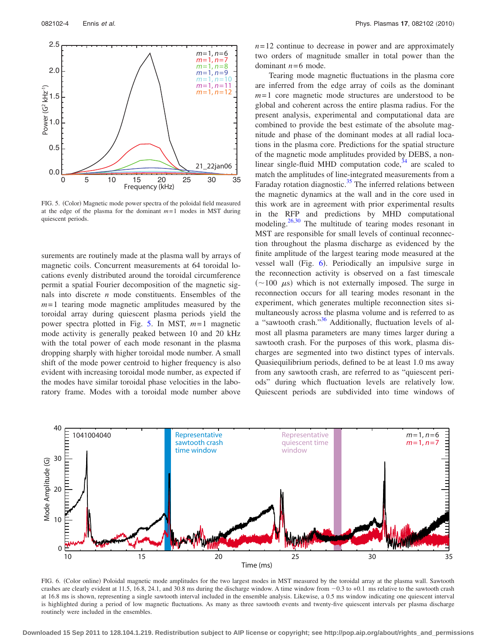<span id="page-3-0"></span>

FIG. 5. (Color) Magnetic mode power spectra of the poloidal field measured at the edge of the plasma for the dominant  $m=1$  modes in MST during quiescent periods.

surements are routinely made at the plasma wall by arrays of magnetic coils. Concurrent measurements at 64 toroidal locations evenly distributed around the toroidal circumference permit a spatial Fourier decomposition of the magnetic signals into discrete *n* mode constituents. Ensembles of the  $m=1$  tearing mode magnetic amplitudes measured by the toroidal array during quiescent plasma periods yield the power spectra plotted in Fig. [5.](#page-3-0) In MST, *m*= 1 magnetic mode activity is generally peaked between 10 and 20 kHz with the total power of each mode resonant in the plasma dropping sharply with higher toroidal mode number. A small shift of the mode power centroid to higher frequency is also evident with increasing toroidal mode number, as expected if the modes have similar toroidal phase velocities in the laboratory frame. Modes with a toroidal mode number above  $n = 12$  continue to decrease in power and are approximately two orders of magnitude smaller in total power than the dominant  $n = 6$  mode.

Tearing mode magnetic fluctuations in the plasma core are inferred from the edge array of coils as the dominant *m*= 1 core magnetic mode structures are understood to be global and coherent across the entire plasma radius. For the present analysis, experimental and computational data are combined to provide the best estimate of the absolute magnitude and phase of the dominant modes at all radial locations in the plasma core. Predictions for the spatial structure of the magnetic mode amplitudes provided by DEBS, a nonlinear single-fluid MHD computation code, $34$  are scaled to match the amplitudes of line-integrated measurements from a Faraday rotation diagnostic. $35$  The inferred relations between the magnetic dynamics at the wall and in the core used in this work are in agreement with prior experimental results in the RFP and predictions by MHD computational modeling. $26,30$  $26,30$  The multitude of tearing modes resonant in MST are responsible for small levels of continual reconnection throughout the plasma discharge as evidenced by the finite amplitude of the largest tearing mode measured at the vessel wall (Fig. [6](#page-3-1)). Periodically an impulsive surge in the reconnection activity is observed on a fast timescale  $(\sim 100 \ \mu s)$  which is not externally imposed. The surge in reconnection occurs for all tearing modes resonant in the experiment, which generates multiple reconnection sites simultaneously across the plasma volume and is referred to as a "sawtooth crash."<sup>36</sup> Additionally, fluctuation levels of almost all plasma parameters are many times larger during a sawtooth crash. For the purposes of this work, plasma discharges are segmented into two distinct types of intervals. Quasiequilibrium periods, defined to be at least 1.0 ms away from any sawtooth crash, are referred to as "quiescent periods" during which fluctuation levels are relatively low. Quiescent periods are subdivided into time windows of

<span id="page-3-1"></span>

FIG. 6. (Color online) Poloidal magnetic mode amplitudes for the two largest modes in MST measured by the toroidal array at the plasma wall. Sawtooth crashes are clearly evident at 11.5, 16.8, 24.1, and 30.8 ms during the discharge window. A time window from  $-0.3$  to  $+0.1$  ms relative to the sawtooth crash at 16.8 ms is shown, representing a single sawtooth interval included in the ensemble analysis. Likewise, a 0.5 ms window indicating one quiescent interval is highlighted during a period of low magnetic fluctuations. As many as three sawtooth events and twenty-five quiescent intervals per plasma discharge routinely were included in the ensembles.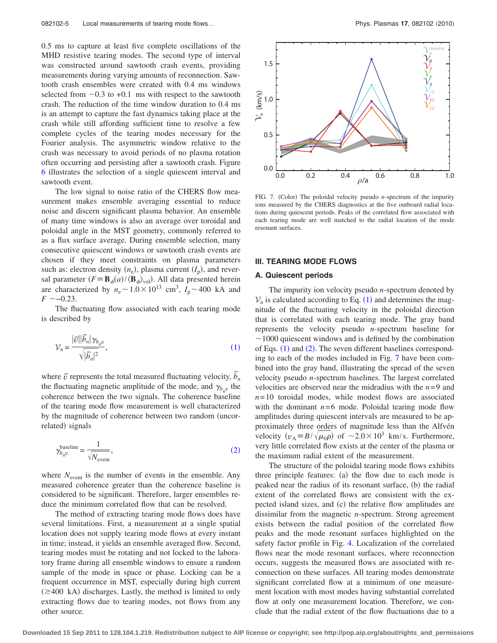0.5 ms to capture at least five complete oscillations of the MHD resistive tearing modes. The second type of interval was constructed around sawtooth crash events, providing measurements during varying amounts of reconnection. Sawtooth crash ensembles were created with 0.4 ms windows selected from  $-0.3$  to  $+0.1$  ms with respect to the sawtooth crash. The reduction of the time window duration to 0.4 ms is an attempt to capture the fast dynamics taking place at the crash while still affording sufficient time to resolve a few complete cycles of the tearing modes necessary for the Fourier analysis. The asymmetric window relative to the crash was necessary to avoid periods of no plasma rotation often occurring and persisting after a sawtooth crash. Figure [6](#page-3-1) illustrates the selection of a single quiescent interval and sawtooth event.

The low signal to noise ratio of the CHERS flow measurement makes ensemble averaging essential to reduce noise and discern significant plasma behavior. An ensemble of many time windows is also an average over toroidal and poloidal angle in the MST geometry, commonly referred to as a flux surface average. During ensemble selection, many consecutive quiescent windows or sawtooth crash events are chosen if they meet constraints on plasma parameters such as: electron density  $(n_e)$ , plasma current  $(I_p)$ , and reversal parameter  $(F \equiv \mathbf{B}_{\phi}(a) / \langle \mathbf{B}_{\phi} \rangle_{\text{vol}})$ . All data presented herein are characterized by  $n_e \sim 1.0 \times 10^{13}$  cm<sup>3</sup>,  $I_p \sim 400$  kA and  $F \sim -0.23$ .

The fluctuating flow associated with each tearing mode is described by

<span id="page-4-0"></span>
$$
\mathcal{V}_n = \frac{|\tilde{v}| |\tilde{b}_n| \gamma_{b_n v}}{\sqrt{|\tilde{b}_n|^2}},
$$
\n(1)

where  $\tilde{v}$  represents the total measured fluctuating velocity,  $\tilde{b}_n$ the fluctuating magnetic amplitude of the mode, and  $\gamma_{b}$  the coherence between the two signals. The coherence baseline of the tearing mode flow measurement is well characterized by the magnitude of coherence between two random (uncorrelated) signals

<span id="page-4-1"></span>
$$
\gamma_{b_n v}^{\text{baseline}} = \frac{1}{\sqrt{N_{\text{event}}}},\tag{2}
$$

where  $N_{\text{event}}$  is the number of events in the ensemble. Any measured coherence greater than the coherence baseline is considered to be significant. Therefore, larger ensembles reduce the minimum correlated flow that can be resolved.

The method of extracting tearing mode flows does have several limitations. First, a measurement at a single spatial location does not supply tearing mode flows at every instant in time; instead, it yields an ensemble averaged flow. Second, tearing modes must be rotating and not locked to the laboratory frame during all ensemble windows to ensure a random sample of the mode in space or phase. Locking can be a frequent occurrence in MST, especially during high current  $(\geq 400 \text{ kA})$  discharges. Lastly, the method is limited to only extracting flows due to tearing modes, not flows from any other source.

<span id="page-4-2"></span>

FIG. 7. (Color) The poloidal velocity pseudo *n*-spectrum of the impurity ions measured by the CHERS diagnostics at the five outboard radial locations during quiescent periods. Peaks of the correlated flow associated with each tearing mode are well matched to the radial location of the mode resonant surfaces.

#### **III. TEARING MODE FLOWS**

#### **A. Quiescent periods**

The impurity ion velocity pseudo *n*-spectrum denoted by  $V_n$  is calculated according to Eq. ([1](#page-4-0)) and determines the magnitude of the fluctuating velocity in the poloidal direction that is correlated with each tearing mode. The gray band represents the velocity pseudo *n*-spectrum baseline for  $\sim$ 1000 quiescent windows and is defined by the combination of Eqs.  $(1)$  $(1)$  $(1)$  and  $(2)$  $(2)$  $(2)$ . The seven different baselines corresponding to each of the modes included in Fig. [7](#page-4-2) have been combined into the gray band, illustrating the spread of the seven velocity pseudo *n*-spectrum baselines. The largest correlated velocities are observed near the midradius with the  $n=9$  and  $n=10$  toroidal modes, while modest flows are associated with the dominant  $n=6$  mode. Poloidal tearing mode flow amplitudes during quiescent intervals are measured to be approximately three orders of magnitude less than the Alfvén velocity  $(v_A \equiv B/\sqrt{\mu_0 \rho})$  of  $\sim 2.0 \times 10^3$  km/s. Furthermore, very little correlated flow exists at the center of the plasma or the maximum radial extent of the measurement.

The structure of the poloidal tearing mode flows exhibits three principle features: (a) the flow due to each mode is peaked near the radius of its resonant surface, (b) the radial extent of the correlated flows are consistent with the expected island sizes, and (c) the relative flow amplitudes are dissimilar from the magnetic *n*-spectrum. Strong agreement exists between the radial position of the correlated flow peaks and the mode resonant surfaces highlighted on the safety factor profile in Fig. [4.](#page-2-2) Localization of the correlated flows near the mode resonant surfaces, where reconnection occurs, suggests the measured flows are associated with reconnection on these surfaces. All tearing modes demonstrate significant correlated flow at a minimum of one measurement location with most modes having substantial correlated flow at only one measurement location. Therefore, we conclude that the radial extent of the flow fluctuations due to a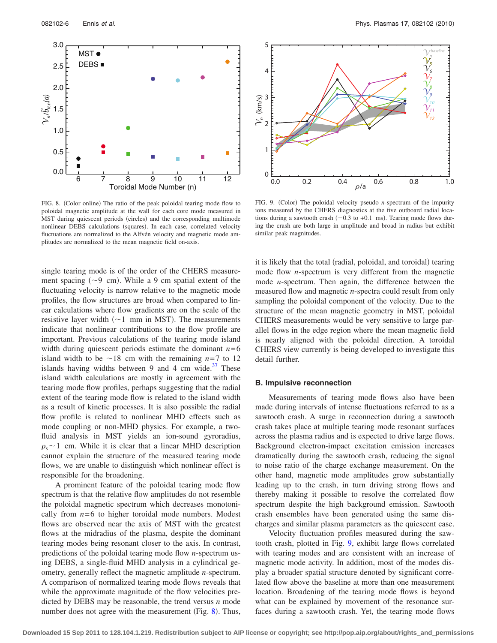<span id="page-5-0"></span>

FIG. 8. (Color online) The ratio of the peak poloidal tearing mode flow to poloidal magnetic amplitude at the wall for each core mode measured in MST during quiescent periods (circles) and the corresponding multimode nonlinear DEBS calculations (squares). In each case, correlated velocity fluctuations are normalized to the Alfvén velocity and magnetic mode amplitudes are normalized to the mean magnetic field on-axis.

single tearing mode is of the order of the CHERS measurement spacing  $(\sim 9 \text{ cm})$ . While a 9 cm spatial extent of the fluctuating velocity is narrow relative to the magnetic mode profiles, the flow structures are broad when compared to linear calculations where flow gradients are on the scale of the resistive layer width  $(\sim 1$  mm in MST). The measurements indicate that nonlinear contributions to the flow profile are important. Previous calculations of the tearing mode island width during quiescent periods estimate the dominant  $n=6$ island width to be  $\sim$  18 cm with the remaining *n*=7 to 12 islands having widths between 9 and 4 cm wide. $37$  These island width calculations are mostly in agreement with the tearing mode flow profiles, perhaps suggesting that the radial extent of the tearing mode flow is related to the island width as a result of kinetic processes. It is also possible the radial flow profile is related to nonlinear MHD effects such as mode coupling or non-MHD physics. For example, a twofluid analysis in MST yields an ion-sound gyroradius,  $\rho_s$  ~ 1 cm. While it is clear that a linear MHD description cannot explain the structure of the measured tearing mode flows, we are unable to distinguish which nonlinear effect is responsible for the broadening.

A prominent feature of the poloidal tearing mode flow spectrum is that the relative flow amplitudes do not resemble the poloidal magnetic spectrum which decreases monotonically from  $n=6$  to higher toroidal mode numbers. Modest flows are observed near the axis of MST with the greatest flows at the midradius of the plasma, despite the dominant tearing modes being resonant closer to the axis. In contrast, predictions of the poloidal tearing mode flow *n*-spectrum using DEBS, a single-fluid MHD analysis in a cylindrical geometry, generally reflect the magnetic amplitude *n*-spectrum. A comparison of normalized tearing mode flows reveals that while the approximate magnitude of the flow velocities predicted by DEBS may be reasonable, the trend versus *n* mode number does not agree with the measurement (Fig. [8](#page-5-0)). Thus,

<span id="page-5-1"></span>

FIG. 9. (Color) The poloidal velocity pseudo *n*-spectrum of the impurity ions measured by the CHERS diagnostics at the five outboard radial locations during a sawtooth crash  $(-0.3$  to  $+0.1$  ms). Tearing mode flows during the crash are both large in amplitude and broad in radius but exhibit similar peak magnitudes.

it is likely that the total (radial, poloidal, and toroidal) tearing mode flow *n*-spectrum is very different from the magnetic mode *n*-spectrum. Then again, the difference between the measured flow and magnetic *n*-spectra could result from only sampling the poloidal component of the velocity. Due to the structure of the mean magnetic geometry in MST, poloidal CHERS measurements would be very sensitive to large parallel flows in the edge region where the mean magnetic field is nearly aligned with the poloidal direction. A toroidal CHERS view currently is being developed to investigate this detail further.

#### **B. Impulsive reconnection**

Measurements of tearing mode flows also have been made during intervals of intense fluctuations referred to as a sawtooth crash. A surge in reconnection during a sawtooth crash takes place at multiple tearing mode resonant surfaces across the plasma radius and is expected to drive large flows. Background electron-impact excitation emission increases dramatically during the sawtooth crash, reducing the signal to noise ratio of the charge exchange measurement. On the other hand, magnetic mode amplitudes grow substantially leading up to the crash, in turn driving strong flows and thereby making it possible to resolve the correlated flow spectrum despite the high background emission. Sawtooth crash ensembles have been generated using the same discharges and similar plasma parameters as the quiescent case.

Velocity fluctuation profiles measured during the sawtooth crash, plotted in Fig. [9,](#page-5-1) exhibit large flows correlated with tearing modes and are consistent with an increase of magnetic mode activity. In addition, most of the modes display a broader spatial structure denoted by significant correlated flow above the baseline at more than one measurement location. Broadening of the tearing mode flows is beyond what can be explained by movement of the resonance surfaces during a sawtooth crash. Yet, the tearing mode flows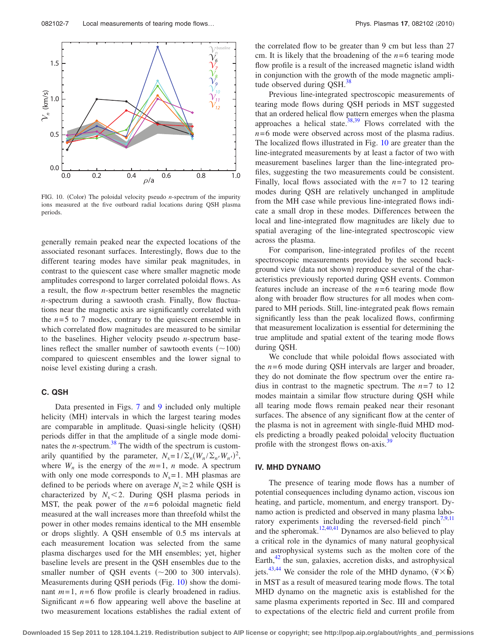<span id="page-6-0"></span>

FIG. 10. (Color) The poloidal velocity pseudo *n*-spectrum of the impurity ions measured at the five outboard radial locations during QSH plasma periods.

generally remain peaked near the expected locations of the associated resonant surfaces. Interestingly, flows due to the different tearing modes have similar peak magnitudes, in contrast to the quiescent case where smaller magnetic mode amplitudes correspond to larger correlated poloidal flows. As a result, the flow *n*-spectrum better resembles the magnetic *n*-spectrum during a sawtooth crash. Finally, flow fluctuations near the magnetic axis are significantly correlated with the  $n=5$  to 7 modes, contrary to the quiescent ensemble in which correlated flow magnitudes are measured to be similar to the baselines. Higher velocity pseudo *n*-spectrum baselines reflect the smaller number of sawtooth events  $(\sim 100)$ compared to quiescent ensembles and the lower signal to noise level existing during a crash.

# **C. QSH**

Data presented in Figs. [7](#page-4-2) and [9](#page-5-1) included only multiple helicity (MH) intervals in which the largest tearing modes are comparable in amplitude. Quasi-single helicity (QSH) periods differ in that the amplitude of a single mode dominates the  $n$ -spectrum.<sup>38</sup> The width of the spectrum is customarily quantified by the parameter,  $N_s = 1/\sum_n (W_n/\sum_n W_n)^2$ , where  $W_n$  is the energy of the  $m=1$ ,  $n$  mode. A spectrum with only one mode corresponds to  $N_s = 1$ . MH plasmas are defined to be periods where on average  $N_s \geq 2$  while QSH is characterized by  $N_s < 2$ . During QSH plasma periods in MST, the peak power of the  $n=6$  poloidal magnetic field measured at the wall increases more than threefold whilst the power in other modes remains identical to the MH ensemble or drops slightly. A QSH ensemble of 0.5 ms intervals at each measurement location was selected from the same plasma discharges used for the MH ensembles; yet, higher baseline levels are present in the QSH ensembles due to the smaller number of QSH events  $({\sim}200$  to 300 intervals). Measurements during QSH periods (Fig. [10](#page-6-0)) show the dominant  $m=1$ ,  $n=6$  flow profile is clearly broadened in radius. Significant  $n=6$  flow appearing well above the baseline at two measurement locations establishes the radial extent of the correlated flow to be greater than 9 cm but less than 27 cm. It is likely that the broadening of the  $n=6$  tearing mode flow profile is a result of the increased magnetic island width in conjunction with the growth of the mode magnetic amplitude observed during QSH.<sup>3</sup>

Previous line-integrated spectroscopic measurements of tearing mode flows during QSH periods in MST suggested that an ordered helical flow pattern emerges when the plasma approaches a helical state. $38,39$  $38,39$  Flows correlated with the  $n=6$  mode were observed across most of the plasma radius. The localized flows illustrated in Fig. [10](#page-6-0) are greater than the line-integrated measurements by at least a factor of two with measurement baselines larger than the line-integrated profiles, suggesting the two measurements could be consistent. Finally, local flows associated with the  $n=7$  to 12 tearing modes during QSH are relatively unchanged in amplitude from the MH case while previous line-integrated flows indicate a small drop in these modes. Differences between the local and line-integrated flow magnitudes are likely due to spatial averaging of the line-integrated spectroscopic view across the plasma.

For comparison, line-integrated profiles of the recent spectroscopic measurements provided by the second background view (data not shown) reproduce several of the characteristics previously reported during QSH events. Common features include an increase of the  $n=6$  tearing mode flow along with broader flow structures for all modes when compared to MH periods. Still, line-integrated peak flows remain significantly less than the peak localized flows, confirming that measurement localization is essential for determining the true amplitude and spatial extent of the tearing mode flows during QSH.

We conclude that while poloidal flows associated with the  $n=6$  mode during QSH intervals are larger and broader, they do not dominate the flow spectrum over the entire radius in contrast to the magnetic spectrum. The  $n=7$  to 12 modes maintain a similar flow structure during QSH while all tearing mode flows remain peaked near their resonant surfaces. The absence of any significant flow at the center of the plasma is not in agreement with single-fluid MHD models predicting a broadly peaked poloidal velocity fluctuation profile with the strongest flows on-axis.<sup>39</sup>

# **IV. MHD DYNAMO**

The presence of tearing mode flows has a number of potential consequences including dynamo action, viscous ion heating, and particle, momentum, and energy transport. Dynamo action is predicted and observed in many plasma labo-ratory experiments including the reversed-field pinch<sup>7[,9](#page-10-8)[,11](#page-10-10)</sup> and the spheromak.<sup>12,[40,](#page-11-19)[41](#page-11-20)</sup> Dynamos are also believed to play a critical role in the dynamics of many natural geophysical and astrophysical systems such as the molten core of the Earth, $42$  the sun, galaxies, accretion disks, and astrophysical igts.<sup>43,[44](#page-11-23)</sup> We consider the role of the MHD dynamo,  $\langle \tilde{v} \times \tilde{b} \rangle$ in MST as a result of measured tearing mode flows. The total MHD dynamo on the magnetic axis is established for the same plasma experiments reported in Sec. III and compared to expectations of the electric field and current profile from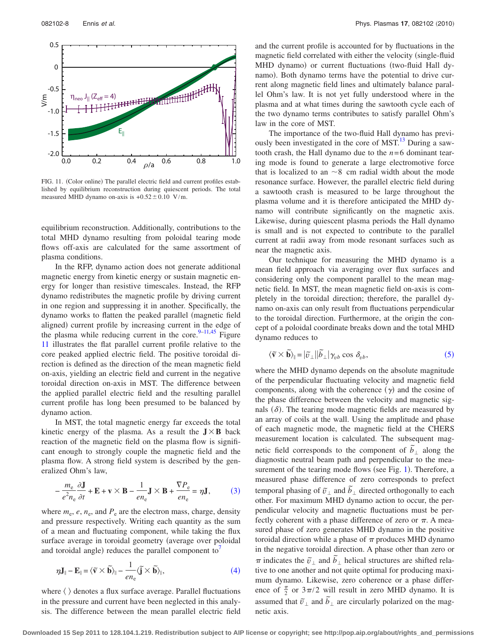<span id="page-7-0"></span>

FIG. 11. (Color online) The parallel electric field and current profiles established by equilibrium reconstruction during quiescent periods. The total measured MHD dynamo on-axis is  $+0.52 \pm 0.10$  V/m.

equilibrium reconstruction. Additionally, contributions to the total MHD dynamo resulting from poloidal tearing mode flows off-axis are calculated for the same assortment of plasma conditions.

In the RFP, dynamo action does not generate additional magnetic energy from kinetic energy or sustain magnetic energy for longer than resistive timescales. Instead, the RFP dynamo redistributes the magnetic profile by driving current in one region and suppressing it in another. Specifically, the dynamo works to flatten the peaked parallel (magnetic field aligned) current profile by increasing current in the edge of the plasma while reducing current in the core. $9-11,45$  $9-11,45$  $9-11,45$  Figure [11](#page-7-0) illustrates the flat parallel current profile relative to the core peaked applied electric field. The positive toroidal direction is defined as the direction of the mean magnetic field on-axis, yielding an electric field and current in the negative toroidal direction on-axis in MST. The difference between the applied parallel electric field and the resulting parallel current profile has long been presumed to be balanced by dynamo action.

In MST, the total magnetic energy far exceeds the total kinetic energy of the plasma. As a result the  $J \times B$  back reaction of the magnetic field on the plasma flow is significant enough to strongly couple the magnetic field and the plasma flow. A strong field system is described by the generalized Ohm's law,

<span id="page-7-1"></span>
$$
-\frac{m_{\rm e}}{e^2 n_{\rm e}} \frac{\partial \mathbf{J}}{\partial t} + \mathbf{E} + \mathbf{v} \times \mathbf{B} - \frac{1}{en_{\rm e}} \mathbf{J} \times \mathbf{B} + \frac{\nabla P_{\rm e}}{en_{\rm e}} = \eta \mathbf{J},\tag{3}
$$

where  $m_e$ ,  $e$ ,  $n_e$ , and  $P_e$  are the electron mass, charge, density and pressure respectively. Writing each quantity as the sum of a mean and fluctuating component, while taking the flux surface average in toroidal geometry (average over poloidal and toroidal angle) reduces the parallel component to $<sup>7</sup>$ </sup>

<span id="page-7-2"></span>
$$
\eta \mathbf{J}_{\parallel} - \mathbf{E}_{\parallel} = \langle \widetilde{\mathbf{v}} \times \widetilde{\mathbf{b}} \rangle_{\parallel} - \frac{1}{en_{\rm e}} \langle \widetilde{\mathbf{j}} \times \widetilde{\mathbf{b}} \rangle_{\parallel},\tag{4}
$$

where  $\langle \ \rangle$  denotes a flux surface average. Parallel fluctuations in the pressure and current have been neglected in this analysis. The difference between the mean parallel electric field and the current profile is accounted for by fluctuations in the magnetic field correlated with either the velocity (single-fluid MHD dynamo) or current fluctuations (two-fluid Hall dynamo). Both dynamo terms have the potential to drive current along magnetic field lines and ultimately balance parallel Ohm's law. It is not yet fully understood where in the plasma and at what times during the sawtooth cycle each of the two dynamo terms contributes to satisfy parallel Ohm's law in the core of MST.

The importance of the two-fluid Hall dynamo has previously been investigated in the core of MST. $^{13}$  During a sawtooth crash, the Hall dynamo due to the  $n=6$  dominant tearing mode is found to generate a large electromotive force that is localized to an  $\sim$ 8 cm radial width about the mode resonance surface. However, the parallel electric field during a sawtooth crash is measured to be large throughout the plasma volume and it is therefore anticipated the MHD dynamo will contribute significantly on the magnetic axis. Likewise, during quiescent plasma periods the Hall dynamo is small and is not expected to contribute to the parallel current at radii away from mode resonant surfaces such as near the magnetic axis.

Our technique for measuring the MHD dynamo is a mean field approach via averaging over flux surfaces and considering only the component parallel to the mean magnetic field. In MST, the mean magnetic field on-axis is completely in the toroidal direction; therefore, the parallel dynamo on-axis can only result from fluctuations perpendicular to the toroidal direction. Furthermore, at the origin the concept of a poloidal coordinate breaks down and the total MHD dynamo reduces to

<span id="page-7-3"></span>
$$
\langle \tilde{\mathbf{v}} \times \tilde{\mathbf{b}} \rangle_{\parallel} = |\tilde{v}_{\perp}| |\tilde{b}_{\perp}| \gamma_{vb} \cos \delta_{vb}, \tag{5}
$$

where the MHD dynamo depends on the absolute magnitude of the perpendicular fluctuating velocity and magnetic field components, along with the coherence  $(\gamma)$  and the cosine of the phase difference between the velocity and magnetic signals  $(\delta)$ . The tearing mode magnetic fields are measured by an array of coils at the wall. Using the amplitude and phase of each magnetic mode, the magnetic field at the CHERS measurement location is calculated. The subsequent magnetic field corresponds to the component of  $\tilde{b}_\perp$  along the diagnostic neutral beam path and perpendicular to the mea-surement of the tearing mode flows (see Fig. [1](#page-1-0)). Therefore, a measured phase difference of zero corresponds to prefect temporal phasing of  $\tilde{v}_{\perp}$  and  $\tilde{b}_{\perp}$  directed orthogonally to each other. For maximum MHD dynamo action to occur, the perpendicular velocity and magnetic fluctuations must be perfectly coherent with a phase difference of zero or  $\pi$ . A measured phase of zero generates MHD dynamo in the positive toroidal direction while a phase of  $\pi$  produces MHD dynamo in the negative toroidal direction. A phase other than zero or  $\pi$  indicates the  $\tilde{v}_{\perp}$  and  $\tilde{b}_{\perp}$  helical structures are shifted relative to one another and not quite optimal for producing maximum dynamo. Likewise, zero coherence or a phase difference of  $\frac{\pi}{2}$  or  $3\pi/2$  will result in zero MHD dynamo. It is assumed that  $\tilde{v}_{\perp}$  and  $\tilde{b}_{\perp}$  are circularly polarized on the magnetic axis.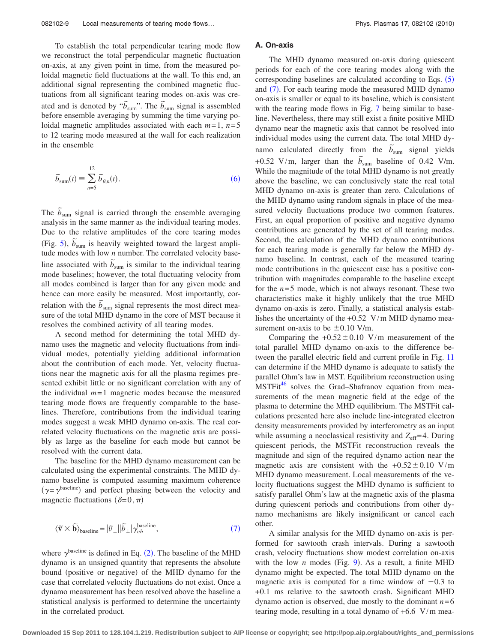To establish the total perpendicular tearing mode flow we reconstruct the total perpendicular magnetic fluctuation on-axis, at any given point in time, from the measured poloidal magnetic field fluctuations at the wall. To this end, an additional signal representing the combined magnetic fluctuations from all significant tearing modes on-axis was created and is denoted by " $\tilde{b}_{\text{sum}}$ ". The  $\tilde{b}_{\text{sum}}$  signal is assembled before ensemble averaging by summing the time varying poloidal magnetic amplitudes associated with each  $m=1$ ,  $n=5$ to 12 tearing mode measured at the wall for each realization in the ensemble

<span id="page-8-0"></span>
$$
\widetilde{b}_{\text{sum}}(t) \equiv \sum_{n=5}^{12} \widetilde{b}_{\theta,n}(t).
$$
\n(6)

The  $\tilde{b}_{\text{sum}}$  signal is carried through the ensemble averaging analysis in the same manner as the individual tearing modes. Due to the relative amplitudes of the core tearing modes Fig. [5](#page-3-0)),  $\tilde{b}_{\text{sum}}$  is heavily weighted toward the largest amplitude modes with low *n* number. The correlated velocity baseline associated with  $\tilde{b}_{\text{sum}}$  is similar to the individual tearing mode baselines; however, the total fluctuating velocity from all modes combined is larger than for any given mode and hence can more easily be measured. Most importantly, correlation with the  $\tilde{b}_{\text{sum}}$  signal represents the most direct measure of the total MHD dynamo in the core of MST because it resolves the combined activity of all tearing modes.

A second method for determining the total MHD dynamo uses the magnetic and velocity fluctuations from individual modes, potentially yielding additional information about the contribution of each mode. Yet, velocity fluctuations near the magnetic axis for all the plasma regimes presented exhibit little or no significant correlation with any of the individual  $m=1$  magnetic modes because the measured tearing mode flows are frequently comparable to the baselines. Therefore, contributions from the individual tearing modes suggest a weak MHD dynamo on-axis. The real correlated velocity fluctuations on the magnetic axis are possibly as large as the baseline for each mode but cannot be resolved with the current data.

The baseline for the MHD dynamo measurement can be calculated using the experimental constraints. The MHD dynamo baseline is computed assuming maximum coherence  $(\gamma = \gamma^{\text{baseline}})$  and perfect phasing between the velocity and magnetic fluctuations  $(\delta = 0, \pi)$ 

<span id="page-8-1"></span>
$$
\langle \tilde{\mathbf{v}} \times \tilde{\mathbf{b}} \rangle_{\text{baseline}} = |\tilde{\mathbf{v}}_{\perp}| |\tilde{b}_{\perp}| \gamma_{vb}^{\text{baseline}}, \qquad (7)
$$

where  $\gamma^{\text{baseline}}$  is defined in Eq. ([2](#page-4-1)). The baseline of the MHD dynamo is an unsigned quantity that represents the absolute bound (positive or negative) of the MHD dynamo for the case that correlated velocity fluctuations do not exist. Once a dynamo measurement has been resolved above the baseline a statistical analysis is performed to determine the uncertainty in the correlated product.

#### **A. On-axis**

The MHD dynamo measured on-axis during quiescent periods for each of the core tearing modes along with the corresponding baselines are calculated according to Eqs. ([5](#page-7-3)) and ([7](#page-8-1)). For each tearing mode the measured MHD dynamo on-axis is smaller or equal to its baseline, which is consistent with the tearing mode flows in Fig. [7](#page-4-2) being similar to baseline. Nevertheless, there may still exist a finite positive MHD dynamo near the magnetic axis that cannot be resolved into individual modes using the current data. The total MHD dynamo calculated directly from the  $\tilde{b}_{\text{sum}}$  signal yields  $+0.52$  V/m, larger than the  $b_{\text{sum}}$  baseline of 0.42 V/m. While the magnitude of the total MHD dynamo is not greatly above the baseline, we can conclusively state the real total MHD dynamo on-axis is greater than zero. Calculations of the MHD dynamo using random signals in place of the measured velocity fluctuations produce two common features. First, an equal proportion of positive and negative dynamo contributions are generated by the set of all tearing modes. Second, the calculation of the MHD dynamo contributions for each tearing mode is generally far below the MHD dynamo baseline. In contrast, each of the measured tearing mode contributions in the quiescent case has a positive contribution with magnitudes comparable to the baseline except for the  $n=5$  mode, which is not always resonant. These two characteristics make it highly unlikely that the true MHD dynamo on-axis is zero. Finally, a statistical analysis establishes the uncertainty of the  $+0.52$  V/m MHD dynamo measurement on-axis to be  $\pm 0.10$  V/m.

Comparing the  $+0.52 \pm 0.10$  V/m measurement of the total parallel MHD dynamo on-axis to the difference between the parallel electric field and current profile in Fig. [11](#page-7-0) can determine if the MHD dynamo is adequate to satisfy the parallel Ohm's law in MST. Equilibrium reconstruction using  $MSTFit^{46}$  solves the Grad–Shafranov equation from measurements of the mean magnetic field at the edge of the plasma to determine the MHD equilibrium. The MSTFit calculations presented here also include line-integrated electron density measurements provided by interferometry as an input while assuming a neoclassical resistivity and  $Z_{\text{eff}}$ =4. During quiescent periods, the MSTFit reconstruction reveals the magnitude and sign of the required dynamo action near the magnetic axis are consistent with the  $+0.52 \pm 0.10$  V/m MHD dynamo measurement. Local measurements of the velocity fluctuations suggest the MHD dynamo is sufficient to satisfy parallel Ohm's law at the magnetic axis of the plasma during quiescent periods and contributions from other dynamo mechanisms are likely insignificant or cancel each other.

A similar analysis for the MHD dynamo on-axis is performed for sawtooth crash intervals. During a sawtooth crash, velocity fluctuations show modest correlation on-axis with the low  $n$  modes (Fig. [9](#page-5-1)). As a result, a finite MHD dynamo might be expected. The total MHD dynamo on the magnetic axis is computed for a time window of  $-0.3$  to +0.1 ms relative to the sawtooth crash. Significant MHD dynamo action is observed, due mostly to the dominant  $n=6$ tearing mode, resulting in a total dynamo of +6.6 V/m mea-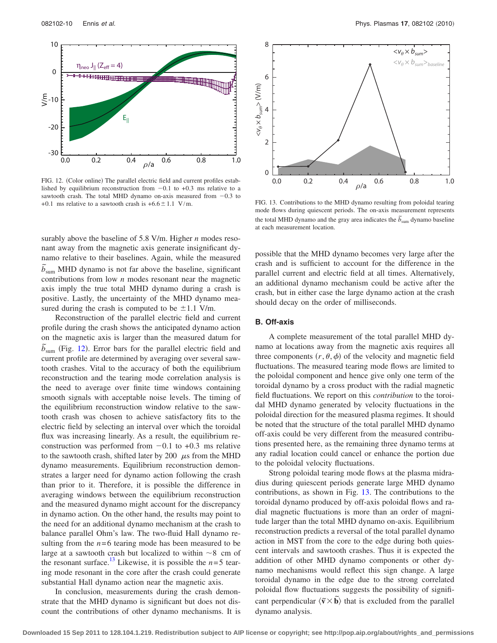<span id="page-9-0"></span>

FIG. 12. (Color online) The parallel electric field and current profiles established by equilibrium reconstruction from  $-0.1$  to  $+0.3$  ms relative to a sawtooth crash. The total MHD dynamo on-axis measured from  $-0.3$  to +0.1 ms relative to a sawtooth crash is  $+6.6 \pm 1.1$  V/m.

surably above the baseline of 5.8 V/m. Higher *n* modes resonant away from the magnetic axis generate insignificant dynamo relative to their baselines. Again, while the measured  $\tilde{b}_{sum}$  MHD dynamo is not far above the baseline, significant contributions from low *n* modes resonant near the magnetic axis imply the true total MHD dynamo during a crash is positive. Lastly, the uncertainty of the MHD dynamo measured during the crash is computed to be  $\pm 1.1$  V/m.

Reconstruction of the parallel electric field and current profile during the crash shows the anticipated dynamo action on the magnetic axis is larger than the measured datum for  $\tilde{b}_{sum}$  (Fig. [12](#page-9-0)). Error bars for the parallel electric field and current profile are determined by averaging over several sawtooth crashes. Vital to the accuracy of both the equilibrium reconstruction and the tearing mode correlation analysis is the need to average over finite time windows containing smooth signals with acceptable noise levels. The timing of the equilibrium reconstruction window relative to the sawtooth crash was chosen to achieve satisfactory fits to the electric field by selecting an interval over which the toroidal flux was increasing linearly. As a result, the equilibrium reconstruction was performed from  $-0.1$  to  $+0.3$  ms relative to the sawtooth crash, shifted later by 200  $\mu$ s from the MHD dynamo measurements. Equilibrium reconstruction demonstrates a larger need for dynamo action following the crash than prior to it. Therefore, it is possible the difference in averaging windows between the equilibrium reconstruction and the measured dynamo might account for the discrepancy in dynamo action. On the other hand, the results may point to the need for an additional dynamo mechanism at the crash to balance parallel Ohm's law. The two-fluid Hall dynamo resulting from the  $n=6$  tearing mode has been measured to be large at a sawtooth crash but localized to within  $\sim$ 8 cm of the resonant surface.<sup>13</sup> Likewise, it is possible the  $n=5$  tearing mode resonant in the core after the crash could generate substantial Hall dynamo action near the magnetic axis.

In conclusion, measurements during the crash demonstrate that the MHD dynamo is significant but does not discount the contributions of other dynamo mechanisms. It is

<span id="page-9-1"></span>

FIG. 13. Contributions to the MHD dynamo resulting from poloidal tearing mode flows during quiescent periods. The on-axis measurement represents the total MHD dynamo and the gray area indicates the  $\tilde{b}_{\text{sum}}$  dynamo baseline at each measurement location.

possible that the MHD dynamo becomes very large after the crash and is sufficient to account for the difference in the parallel current and electric field at all times. Alternatively, an additional dynamo mechanism could be active after the crash, but in either case the large dynamo action at the crash should decay on the order of milliseconds.

## **B. Off-axis**

A complete measurement of the total parallel MHD dynamo at locations away from the magnetic axis requires all three components  $(r, \theta, \phi)$  of the velocity and magnetic field fluctuations. The measured tearing mode flows are limited to the poloidal component and hence give only one term of the toroidal dynamo by a cross product with the radial magnetic field fluctuations. We report on this *contribution* to the toroidal MHD dynamo generated by velocity fluctuations in the poloidal direction for the measured plasma regimes. It should be noted that the structure of the total parallel MHD dynamo off-axis could be very different from the measured contributions presented here, as the remaining three dynamo terms at any radial location could cancel or enhance the portion due to the poloidal velocity fluctuations.

Strong poloidal tearing mode flows at the plasma midradius during quiescent periods generate large MHD dynamo contributions, as shown in Fig. [13.](#page-9-1) The contributions to the toroidal dynamo produced by off-axis poloidal flows and radial magnetic fluctuations is more than an order of magnitude larger than the total MHD dynamo on-axis. Equilibrium reconstruction predicts a reversal of the total parallel dynamo action in MST from the core to the edge during both quiescent intervals and sawtooth crashes. Thus it is expected the addition of other MHD dynamo components or other dynamo mechanisms would reflect this sign change. A large toroidal dynamo in the edge due to the strong correlated poloidal flow fluctuations suggests the possibility of significant perpendicular  $\langle \tilde{v} \times \tilde{b} \rangle$  that is excluded from the parallel dynamo analysis.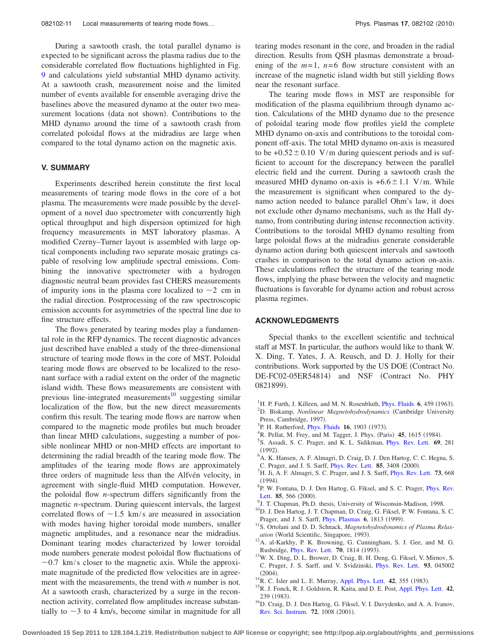During a sawtooth crash, the total parallel dynamo is expected to be significant across the plasma radius due to the considerable correlated flow fluctuations highlighted in Fig. [9](#page-5-1) and calculations yield substantial MHD dynamo activity. At a sawtooth crash, measurement noise and the limited number of events available for ensemble averaging drive the baselines above the measured dynamo at the outer two measurement locations (data not shown). Contributions to the MHD dynamo around the time of a sawtooth crash from correlated poloidal flows at the midradius are large when compared to the total dynamo action on the magnetic axis.

#### **V. SUMMARY**

Experiments described herein constitute the first local measurements of tearing mode flows in the core of a hot plasma. The measurements were made possible by the development of a novel duo spectrometer with concurrently high optical throughput and high dispersion optimized for high frequency measurements in MST laboratory plasmas. A modified Czerny–Turner layout is assembled with large optical components including two separate mosaic gratings capable of resolving low amplitude spectral emissions. Combining the innovative spectrometer with a hydrogen diagnostic neutral beam provides fast CHERS measurements of impurity ions in the plasma core localized to  $\sim$ 2 cm in the radial direction. Postprocessing of the raw spectroscopic emission accounts for asymmetries of the spectral line due to fine structure effects.

The flows generated by tearing modes play a fundamental role in the RFP dynamics. The recent diagnostic advances just described have enabled a study of the three-dimensional structure of tearing mode flows in the core of MST. Poloidal tearing mode flows are observed to be localized to the resonant surface with a radial extent on the order of the magnetic island width. These flows measurements are consistent with previous line-integrated measurements<sup>10</sup> suggesting similar localization of the flow, but the new direct measurements confirm this result. The tearing mode flows are narrow when compared to the magnetic mode profiles but much broader than linear MHD calculations, suggesting a number of possible nonlinear MHD or non-MHD effects are important to determining the radial breadth of the tearing mode flow. The amplitudes of the tearing mode flows are approximately three orders of magnitude less than the Alfvén velocity, in agreement with single-fluid MHD computation. However, the poloidal flow *n*-spectrum differs significantly from the magnetic *n*-spectrum. During quiescent intervals, the largest correlated flows of  $\sim$ 1.5 km/s are measured in association with modes having higher toroidal mode numbers, smaller magnetic amplitudes, and a resonance near the midradius. Dominant tearing modes characterized by lower toroidal mode numbers generate modest poloidal flow fluctuations of  $\sim$ 0.7 km/s closer to the magnetic axis. While the approximate magnitude of the predicted flow velocities are in agreement with the measurements, the trend with *n* number is not. At a sawtooth crash, characterized by a surge in the reconnection activity, correlated flow amplitudes increase substantially to  $\sim$ 3 to 4 km/s, become similar in magnitude for all tearing modes resonant in the core, and broaden in the radial direction. Results from QSH plasmas demonstrate a broadening of the  $m=1$ ,  $n=6$  flow structure consistent with an increase of the magnetic island width but still yielding flows near the resonant surface.

The tearing mode flows in MST are responsible for modification of the plasma equilibrium through dynamo action. Calculations of the MHD dynamo due to the presence of poloidal tearing mode flow profiles yield the complete MHD dynamo on-axis and contributions to the toroidal component off-axis. The total MHD dynamo on-axis is measured to be  $+0.52 \pm 0.10$  V/m during quiescent periods and is sufficient to account for the discrepancy between the parallel electric field and the current. During a sawtooth crash the measured MHD dynamo on-axis is  $+6.6 \pm 1.1$  V/m. While the measurement is significant when compared to the dynamo action needed to balance parallel Ohm's law, it does not exclude other dynamo mechanisms, such as the Hall dynamo, from contributing during intense reconnection activity. Contributions to the toroidal MHD dynamo resulting from large poloidal flows at the midradius generate considerable dynamo action during both quiescent intervals and sawtooth crashes in comparison to the total dynamo action on-axis. These calculations reflect the structure of the tearing mode flows, implying the phase between the velocity and magnetic fluctuations is favorable for dynamo action and robust across plasma regimes.

#### **ACKNOWLEDGMENTS**

Special thanks to the excellent scientific and technical staff at MST. In particular, the authors would like to thank W. X. Ding, T. Yates, J. A. Reusch, and D. J. Holly for their contributions. Work supported by the US DOE (Contract No. DE-FC02-05ER54814) and NSF (Contract No. PHY 0821899.

- <span id="page-10-0"></span><sup>1</sup>H. P. Furth, J. Killeen, and M. N. Rosenbluth, *[Phys. Fluids](http://dx.doi.org/10.1063/1.1706761)* **6**, 459 (1963).
- <span id="page-10-1"></span>D. Biskamp, Nonlinear Magnetohydrodynamics (Cambridge University Press, Cambridge, 1997).
- <span id="page-10-2"></span><sup>3</sup>P. H. Rutherford, *[Phys. Fluids](http://dx.doi.org/10.1063/1.1694232)* **16**, 1903 (1973).
- <span id="page-10-3"></span><sup>4</sup>R. Pellat, M. Frey, and M. Tagger, J. Phys. (Paris) **45**, 1615 (1984).
- <span id="page-10-4"></span>S. Assadi, S. C. Prager, and K. L. Sidikman, [Phys. Rev. Lett.](http://dx.doi.org/10.1103/PhysRevLett.69.281) **69**, 281  $^{(1992)}_{6}$
- <span id="page-10-5"></span><sup>6</sup>A. K. Hansen, A. F. Almagri, D. Craig, D. J. Den Hartog, C. C. Hegna, S. C. Prager, and J. S. Sarff, *[Phys. Rev. Lett.](http://dx.doi.org/10.1103/PhysRevLett.85.3408)* **85**, 3408 (2000).
- <span id="page-10-6"></span><sup>7</sup>H. Ji, A. F. Almagri, S. C. Prager, and J. S. Sarff, *[Phys. Rev. Lett.](http://dx.doi.org/10.1103/PhysRevLett.73.668)* **73**, 668  $^{(1994)}_{8\text{D W L}}$
- <span id="page-10-7"></span><sup>8</sup>P. W. Fontana, D. J. Den Hartog, G. Fiksel, and S. C. Prager, *[Phys. Rev.](http://dx.doi.org/10.1103/PhysRevLett.85.566)* **[Lett.](http://dx.doi.org/10.1103/PhysRevLett.85.566) 85**, 566  $(2000)$ .
- 
- <span id="page-10-9"></span><span id="page-10-8"></span> $^{9}$ J. T. Chapman, Ph.D. thesis, University of Wisconsin-Madison, 1998. <sup>10</sup>D. J. Den Hartog, J. T. Chapman, D. Craig, G. Fiksel, P. W. Fontana, S. C. Prager, and J. S. Sarff, *[Phys. Plasmas](http://dx.doi.org/10.1063/1.873439)* 6, 1813 (1999).
- <span id="page-10-10"></span><sup>11</sup>S. Ortolani and D. D. Schnack, *Magnetohydrodynamics of Plasma Relaxation* (World Scientific, Singapore, 1993).
- <span id="page-10-11"></span><sup>12</sup>A. al-Karkhy, P. K. Browning, G. Cunningham, S. J. Gee, and M. G. Rusbridge, *[Phys. Rev. Lett.](http://dx.doi.org/10.1103/PhysRevLett.70.1814)* **70**, 1814 (1993).
- <span id="page-10-12"></span><sup>13</sup>W. X. Ding, D. L. Brower, D. Craig, B. H. Deng, G. Fiksel, V. Mirnov, S. C. Prager, J. S. Sarff, and V. Svidzinski, [Phys. Rev. Lett.](http://dx.doi.org/10.1103/PhysRevLett.93.045002) **93**, 045002  $(2004).$
- <span id="page-10-13"></span> $14R$ . C. Isler and L. E. Murray, [Appl. Phys. Lett.](http://dx.doi.org/10.1063/1.93931) **42**, 355 (1983).
- <span id="page-10-14"></span><sup>15</sup>R. J. Fonck, R. J. Goldston, R. Kaita, and D. E. Post, [Appl. Phys. Lett.](http://dx.doi.org/10.1063/1.93893) **42**,  $239(1983)$
- <span id="page-10-15"></span><sup>16</sup>D. Craig, D. J. Den Hartog, G. Fiksel, V. I. Davydenko, and A. A. Ivanov, [Rev. Sci. Instrum.](http://dx.doi.org/10.1063/1.1319606) 72, 1008 (2001).